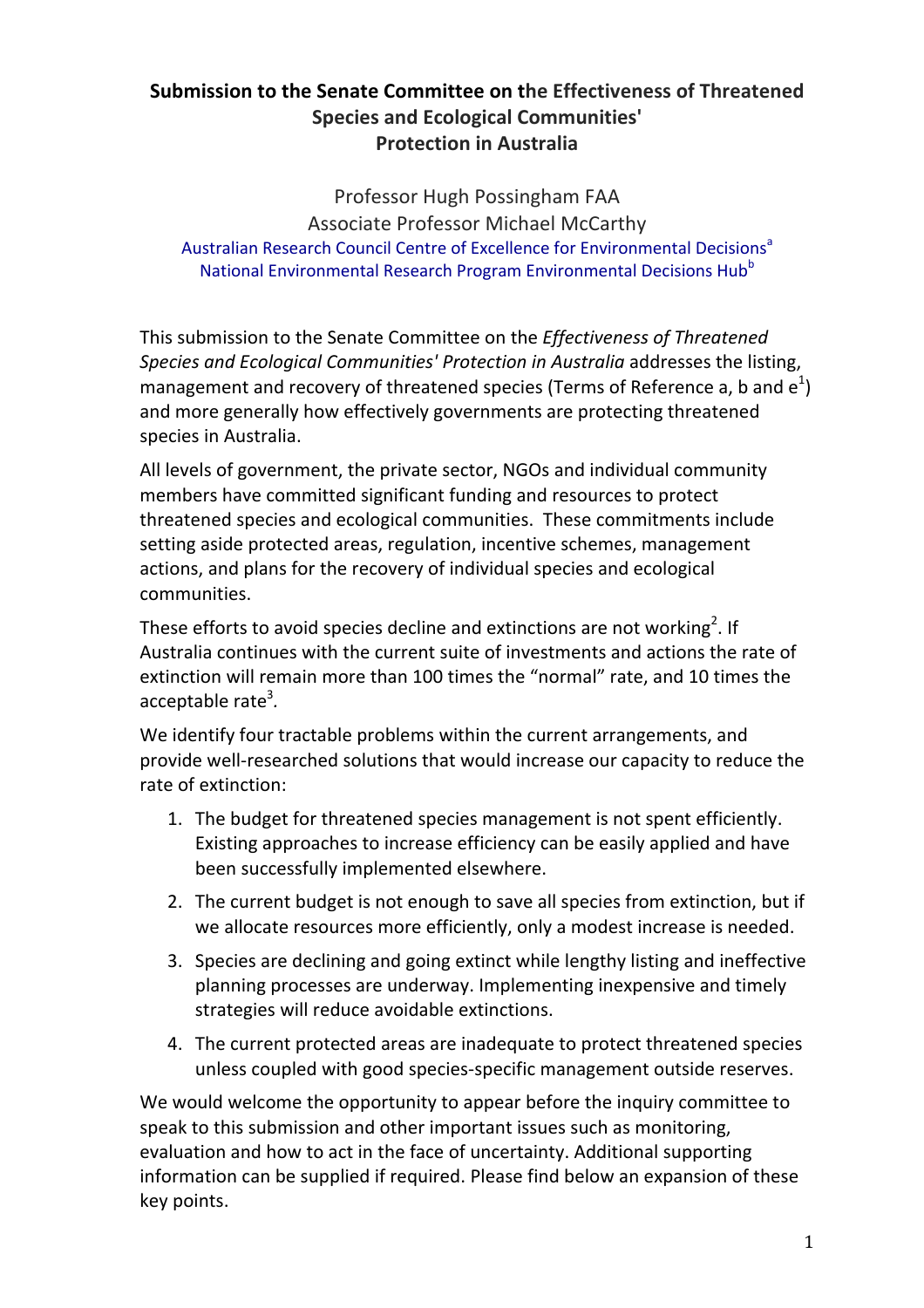# **Submission to the Senate Committee on the Effectiveness of Threatened Species and Ecological Communities' Protection in Australia**

Professor Hugh Possingham FAA Associate Professor Michael McCarthy Australian Research Council Centre of Excellence for Environmental Decisions<sup>a</sup> National Environmental Research Program Environmental Decisions Hub<sup>b</sup>

This submission to the Senate Committee on the *Effectiveness of Threatened Species and Ecological Communities' Protection in Australia* addresses the listing, management and recovery of threatened species (Terms of Reference a, b and  $e^1$ ) and more generally how effectively governments are protecting threatened species in Australia.

All levels of government, the private sector, NGOs and individual community members have committed significant funding and resources to protect threatened species and ecological communities. These commitments include setting aside protected areas, regulation, incentive schemes, management actions, and plans for the recovery of individual species and ecological communities.

These efforts to avoid species decline and extinctions are not working<sup>2</sup>. If Australia continues with the current suite of investments and actions the rate of extinction will remain more than 100 times the "normal" rate, and 10 times the acceptable rate<sup>3</sup>.

We identify four tractable problems within the current arrangements, and provide well-researched solutions that would increase our capacity to reduce the rate of extinction:

- 1. The budget for threatened species management is not spent efficiently. Existing approaches to increase efficiency can be easily applied and have been successfully implemented elsewhere.
- 2. The current budget is not enough to save all species from extinction, but if we allocate resources more efficiently, only a modest increase is needed.
- 3. Species are declining and going extinct while lengthy listing and ineffective planning processes are underway. Implementing inexpensive and timely strategies will reduce avoidable extinctions.
- 4. The current protected areas are inadequate to protect threatened species unless coupled with good species-specific management outside reserves.

We would welcome the opportunity to appear before the inquiry committee to speak to this submission and other important issues such as monitoring, evaluation and how to act in the face of uncertainty. Additional supporting information can be supplied if required. Please find below an expansion of these key points.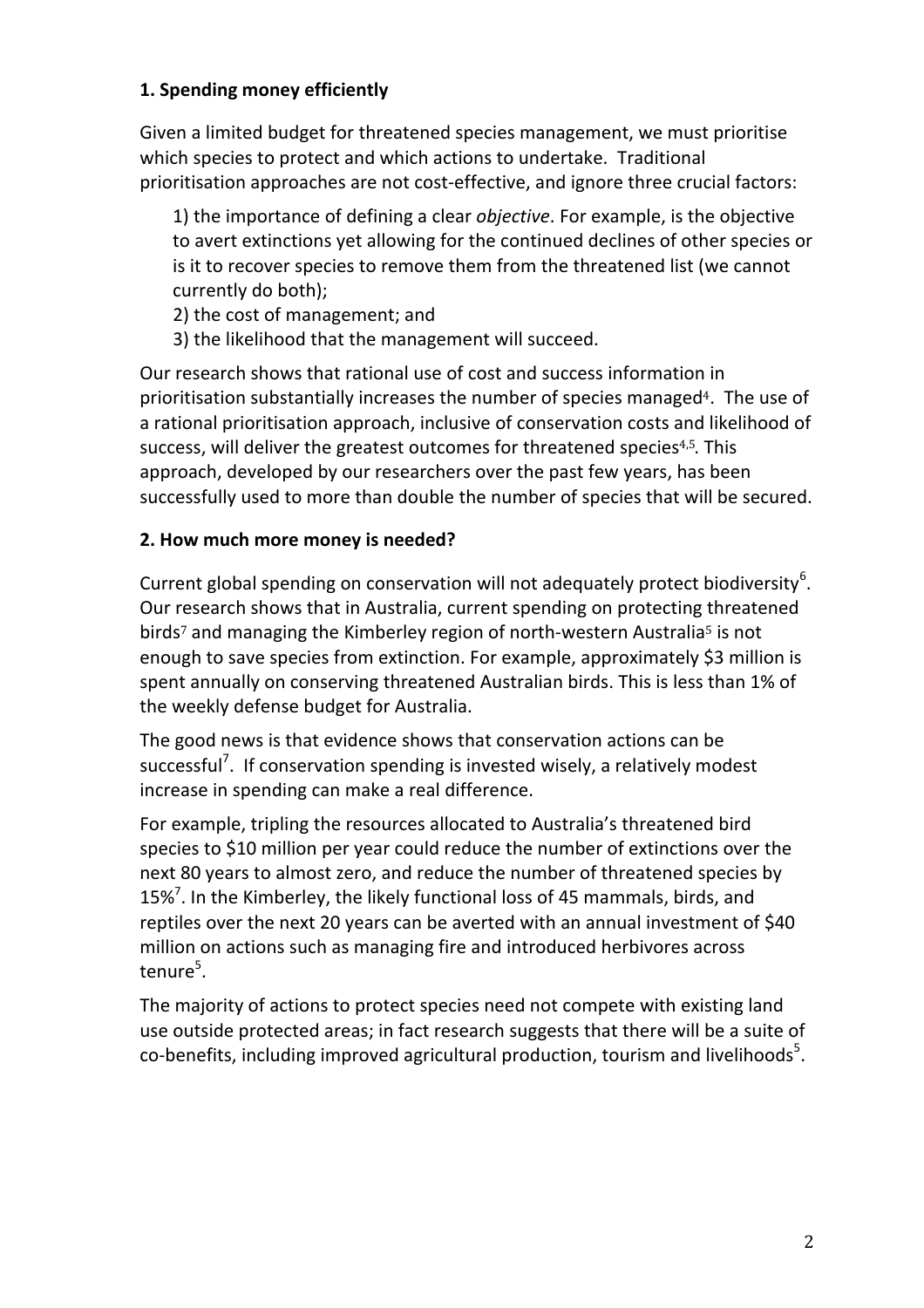# **1. Spending money efficiently**

Given a limited budget for threatened species management, we must prioritise which species to protect and which actions to undertake. Traditional prioritisation approaches are not cost-effective, and ignore three crucial factors:

1) the importance of defining a clear *objective*. For example, is the objective to avert extinctions yet allowing for the continued declines of other species or is it to recover species to remove them from the threatened list (we cannot currently do both);

- 2) the cost of management; and
- 3) the likelihood that the management will succeed.

Our research shows that rational use of cost and success information in prioritisation substantially increases the number of species managed<sup>4</sup>. The use of a rational prioritisation approach, inclusive of conservation costs and likelihood of success, will deliver the greatest outcomes for threatened species<sup>4,5</sup>. This approach, developed by our researchers over the past few years, has been successfully used to more than double the number of species that will be secured.

### **2. How much more money is needed?**

Current global spending on conservation will not adequately protect biodiversity<sup>6</sup>. Our research shows that in Australia, current spending on protecting threatened birds<sup>7</sup> and managing the Kimberley region of north-western Australia<sup>5</sup> is not enough to save species from extinction. For example, approximately \$3 million is spent annually on conserving threatened Australian birds. This is less than 1% of the weekly defense budget for Australia.

The good news is that evidence shows that conservation actions can be successful<sup>7</sup>. If conservation spending is invested wisely, a relatively modest increase in spending can make a real difference.

For example, tripling the resources allocated to Australia's threatened bird species to \$10 million per year could reduce the number of extinctions over the next 80 years to almost zero, and reduce the number of threatened species by 15%<sup>7</sup>. In the Kimberley, the likely functional loss of 45 mammals, birds, and reptiles over the next 20 years can be averted with an annual investment of \$40 million on actions such as managing fire and introduced herbivores across tenure<sup>5</sup>.

The majority of actions to protect species need not compete with existing land use outside protected areas; in fact research suggests that there will be a suite of co-benefits, including improved agricultural production, tourism and livelihoods<sup>5</sup>.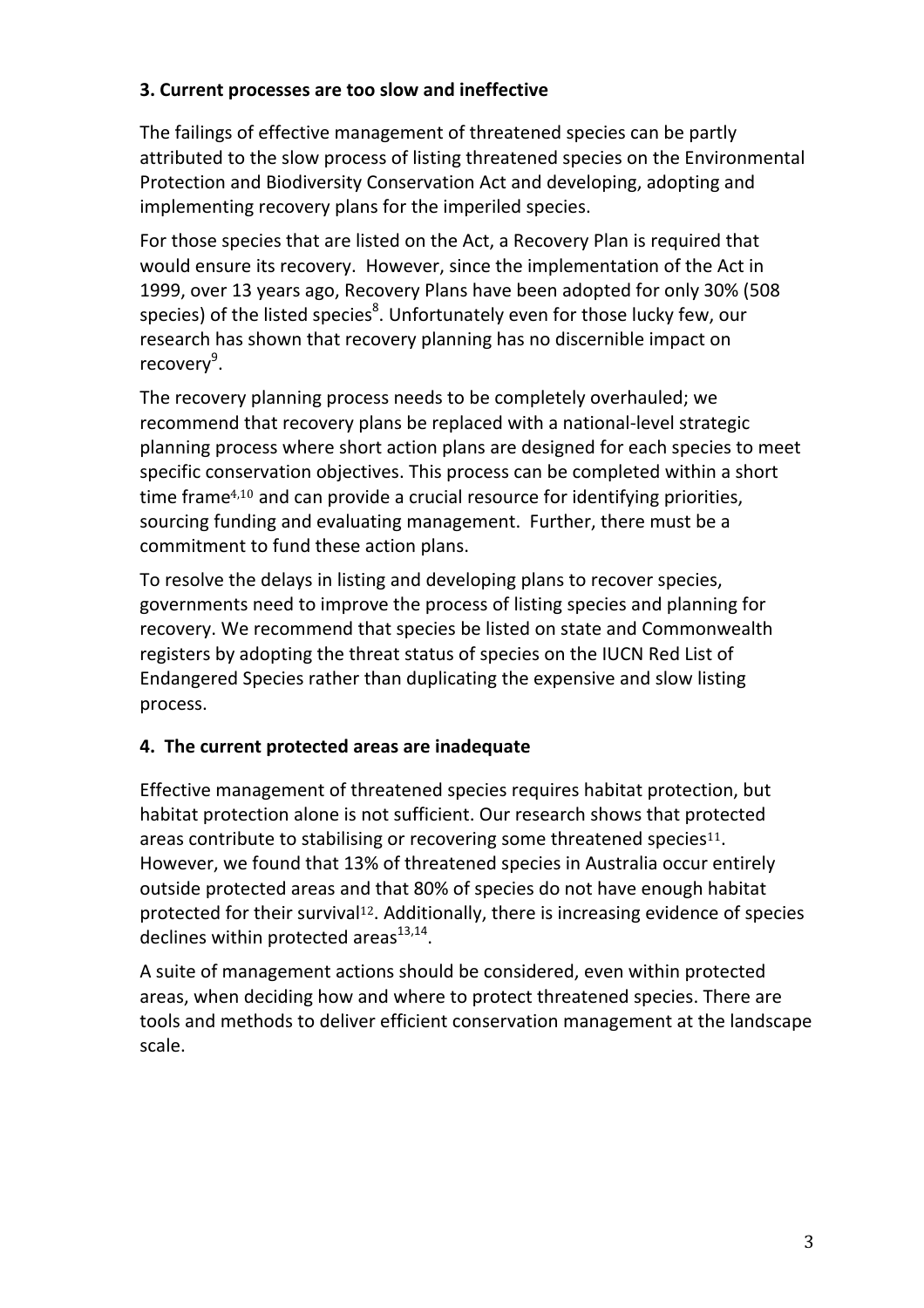### **3. Current processes are too slow and ineffective**

The failings of effective management of threatened species can be partly attributed to the slow process of listing threatened species on the Environmental Protection and Biodiversity Conservation Act and developing, adopting and implementing recovery plans for the imperiled species.

For those species that are listed on the Act, a Recovery Plan is required that would ensure its recovery. However, since the implementation of the Act in 1999, over 13 years ago, Recovery Plans have been adopted for only 30% (508) species) of the listed species ${}^{8}$ . Unfortunately even for those lucky few, our research has shown that recovery planning has no discernible impact on recovery<sup>9</sup>.

The recovery planning process needs to be completely overhauled; we recommend that recovery plans be replaced with a national-level strategic planning process where short action plans are designed for each species to meet specific conservation objectives. This process can be completed within a short time frame<sup>4,10</sup> and can provide a crucial resource for identifying priorities, sourcing funding and evaluating management. Further, there must be a commitment to fund these action plans.

To resolve the delays in listing and developing plans to recover species, governments need to improve the process of listing species and planning for recovery. We recommend that species be listed on state and Commonwealth registers by adopting the threat status of species on the IUCN Red List of Endangered Species rather than duplicating the expensive and slow listing process. 

# **4.** The current protected areas are inadequate

Effective management of threatened species requires habitat protection, but habitat protection alone is not sufficient. Our research shows that protected areas contribute to stabilising or recovering some threatened species<sup>11</sup>. However, we found that 13% of threatened species in Australia occur entirely outside protected areas and that 80% of species do not have enough habitat protected for their survival<sup>12</sup>. Additionally, there is increasing evidence of species declines within protected areas $^{13,14}$ .

A suite of management actions should be considered, even within protected areas, when deciding how and where to protect threatened species. There are tools and methods to deliver efficient conservation management at the landscape scale.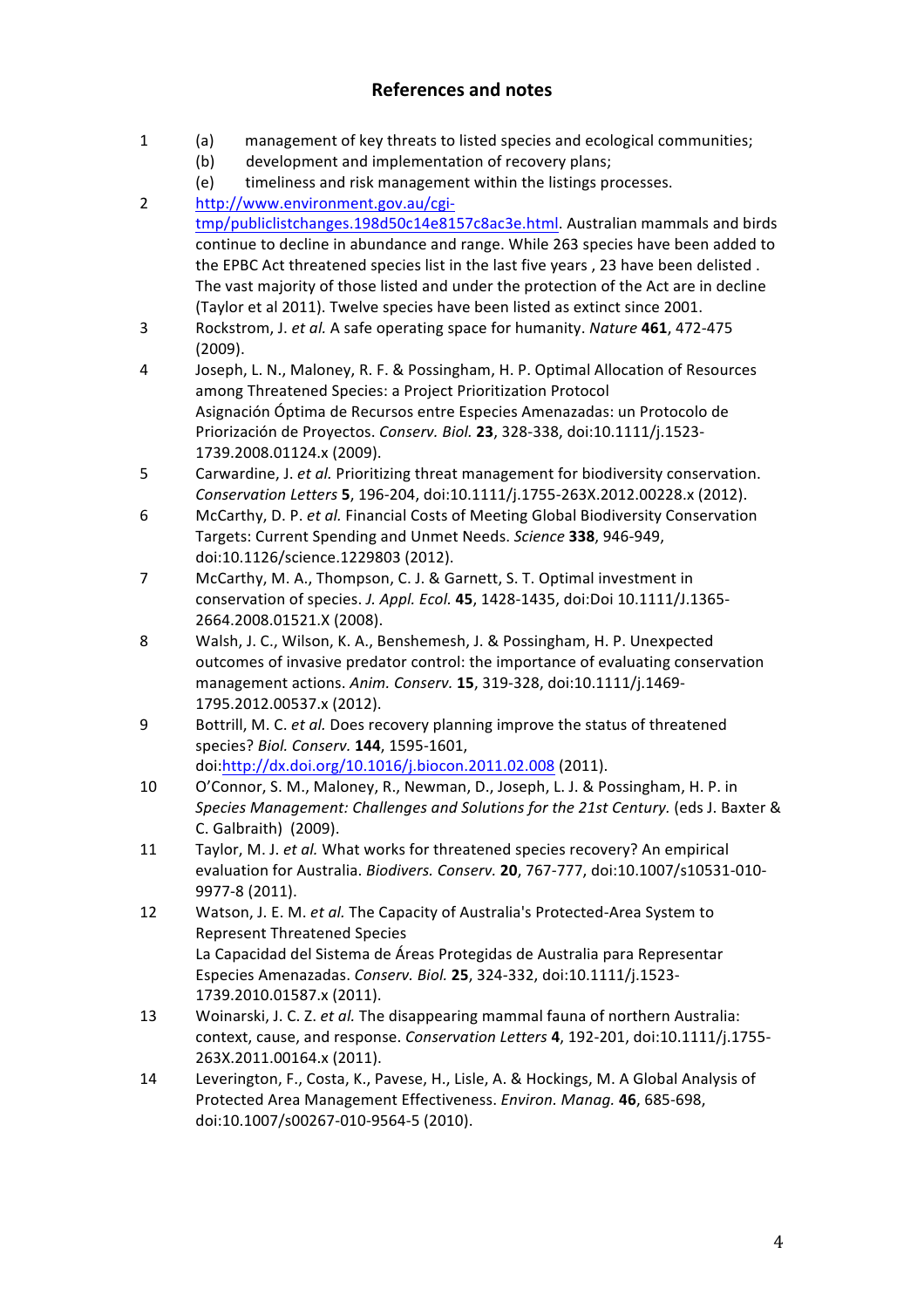#### **References and notes**

- 1 (a) management of key threats to listed species and ecological communities;
	- (b) development and implementation of recovery plans;
	- (e) timeliness and risk management within the listings processes.
- 2 http://www.environment.gov.au/cgitmp/publiclistchanges.198d50c14e8157c8ac3e.html. Australian mammals and birds continue to decline in abundance and range. While 263 species have been added to the EPBC Act threatened species list in the last five years, 23 have been delisted. The vast majority of those listed and under the protection of the Act are in decline (Taylor et al 2011). Twelve species have been listed as extinct since 2001.
- 3 Rockstrom, J. et al. A safe operating space for humanity. *Nature* 461, 472-475 (2009).
- 4 Joseph, L. N., Maloney, R. F. & Possingham, H. P. Optimal Allocation of Resources among Threatened Species: a Project Prioritization Protocol Asignación Óptima de Recursos entre Especies Amenazadas: un Protocolo de Priorización de Proyectos. *Conserv. Biol.* **23**, 328-338, doi:10.1111/j.1523- 1739.2008.01124.x (2009).
- 5 Carwardine, J. *et al.* Prioritizing threat management for biodiversity conservation. *Conservation Letters* **5**, 196-204, doi:10.1111/j.1755-263X.2012.00228.x (2012).
- 6 McCarthy, D. P. *et al.* Financial Costs of Meeting Global Biodiversity Conservation Targets: Current Spending and Unmet Needs. *Science* **338**, 946-949, doi:10.1126/science.1229803 (2012).
- 7 McCarthy, M. A., Thompson, C. J. & Garnett, S. T. Optimal investment in conservation of species. *J. Appl. Ecol.* **45**, 1428-1435, doi:Doi 10.1111/J.1365-2664.2008.01521.X (2008).
- 8 Walsh, J. C., Wilson, K. A., Benshemesh, J. & Possingham, H. P. Unexpected outcomes of invasive predator control: the importance of evaluating conservation management actions. Anim. Conserv. **15**, 319-328, doi:10.1111/j.1469-1795.2012.00537.x (2012).
- 9 Bottrill, M. C. *et al.* Does recovery planning improve the status of threatened species? *Biol. Conserv.* **144**, 1595-1601, doi:http://dx.doi.org/10.1016/j.biocon.2011.02.008 (2011).
- 10 O'Connor, S. M., Maloney, R., Newman, D., Joseph, L. J. & Possingham, H. P. in Species Management: Challenges and Solutions for the 21st Century. (eds J. Baxter & C. Galbraith) (2009).
- 11 Taylor, M. J. *et al.* What works for threatened species recovery? An empirical evaluation for Australia. *Biodivers. Conserv.* **20**, 767-777, doi:10.1007/s10531-010-9977-8 (2011).
- 12 Watson, J. E. M. *et al.* The Capacity of Australia's Protected-Area System to Represent Threatened Species La Capacidad del Sistema de Áreas Protegidas de Australia para Representar Especies Amenazadas. *Conserv. Biol.* **25**, 324-332, doi:10.1111/j.1523- 1739.2010.01587.x (2011).
- 13 Woinarski, J. C. Z. *et al.* The disappearing mammal fauna of northern Australia: context, cause, and response. *Conservation Letters* 4, 192-201, doi:10.1111/j.1755-263X.2011.00164.x (2011).
- 14 Leverington, F., Costa, K., Pavese, H., Lisle, A. & Hockings, M. A Global Analysis of Protected Area Management Effectiveness. *Environ. Manag.* **46**, 685-698, doi:10.1007/s00267-010-9564-5 (2010).